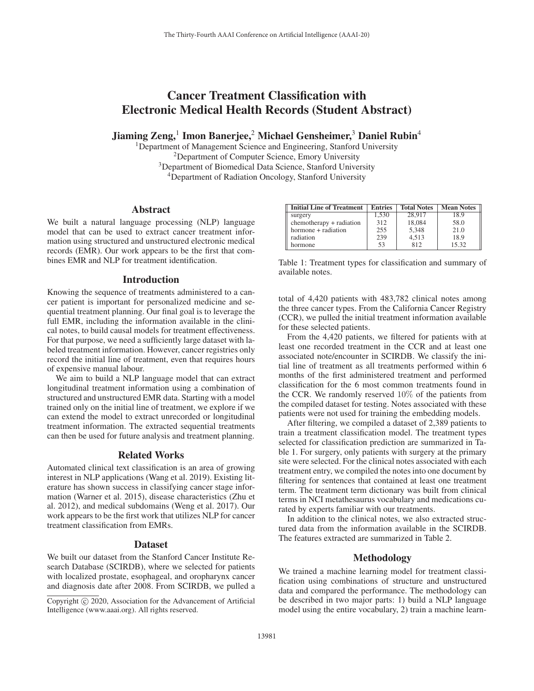# Cancer Treatment Classification with Electronic Medical Health Records (Student Abstract)

Jiaming Zeng,<sup>1</sup> Imon Banerjee,<sup>2</sup> Michael Gensheimer,<sup>3</sup> Daniel Rubin<sup>4</sup>

<sup>1</sup>Department of Management Science and Engineering, Stanford University 2Department of Computer Science, Emory University <sup>3</sup>Department of Biomedical Data Science, Stanford University 4Department of Radiation Oncology, Stanford University

## Abstract

We built a natural language processing (NLP) language model that can be used to extract cancer treatment information using structured and unstructured electronic medical records (EMR). Our work appears to be the first that combines EMR and NLP for treatment identification.

## Introduction

Knowing the sequence of treatments administered to a cancer patient is important for personalized medicine and sequential treatment planning. Our final goal is to leverage the full EMR, including the information available in the clinical notes, to build causal models for treatment effectiveness. For that purpose, we need a sufficiently large dataset with labeled treatment information. However, cancer registries only record the initial line of treatment, even that requires hours of expensive manual labour.

We aim to build a NLP language model that can extract longitudinal treatment information using a combination of structured and unstructured EMR data. Starting with a model trained only on the initial line of treatment, we explore if we can extend the model to extract unrecorded or longitudinal treatment information. The extracted sequential treatments can then be used for future analysis and treatment planning.

# Related Works

Automated clinical text classification is an area of growing interest in NLP applications (Wang et al. 2019). Existing literature has shown success in classifying cancer stage information (Warner et al. 2015), disease characteristics (Zhu et al. 2012), and medical subdomains (Weng et al. 2017). Our work appears to be the first work that utilizes NLP for cancer treatment classification from EMRs.

## Dataset

We built our dataset from the Stanford Cancer Institute Research Database (SCIRDB), where we selected for patients with localized prostate, esophageal, and oropharynx cancer and diagnosis date after 2008. From SCIRDB, we pulled a

| <b>Initial Line of Treatment</b> | <b>Entries</b> | <b>Total Notes</b> | <b>Mean Notes</b> |
|----------------------------------|----------------|--------------------|-------------------|
| surgery                          | 1,530          | 28.917             | 18.9              |
| chemotherapy + radiation         | 312            | 18.084             | 58.0              |
| hormone + radiation              | 255            | 5,348              | 21.0              |
| radiation                        | 239            | 4,513              | 18.9              |
| hormone                          | 53             | 812                | 15.32             |

Table 1: Treatment types for classification and summary of available notes.

total of 4,420 patients with 483,782 clinical notes among the three cancer types. From the California Cancer Registry (CCR), we pulled the initial treatment information available for these selected patients.

From the 4,420 patients, we filtered for patients with at least one recorded treatment in the CCR and at least one associated note/encounter in SCIRDB. We classify the initial line of treatment as all treatments performed within 6 months of the first administered treatment and performed classification for the 6 most common treatments found in the CCR. We randomly reserved  $10\%$  of the patients from the compiled dataset for testing. Notes associated with these patients were not used for training the embedding models.

After filtering, we compiled a dataset of 2,389 patients to train a treatment classification model. The treatment types selected for classification prediction are summarized in Table 1. For surgery, only patients with surgery at the primary site were selected. For the clinical notes associated with each treatment entry, we compiled the notes into one document by filtering for sentences that contained at least one treatment term. The treatment term dictionary was built from clinical terms in NCI metathesaurus vocabulary and medications curated by experts familiar with our treatments.

In addition to the clinical notes, we also extracted structured data from the information available in the SCIRDB. The features extracted are summarized in Table 2.

# Methodology

We trained a machine learning model for treatment classification using combinations of structure and unstructured data and compared the performance. The methodology can be described in two major parts: 1) build a NLP language model using the entire vocabulary, 2) train a machine learn-

Copyright  $\odot$  2020, Association for the Advancement of Artificial Intelligence (www.aaai.org). All rights reserved.